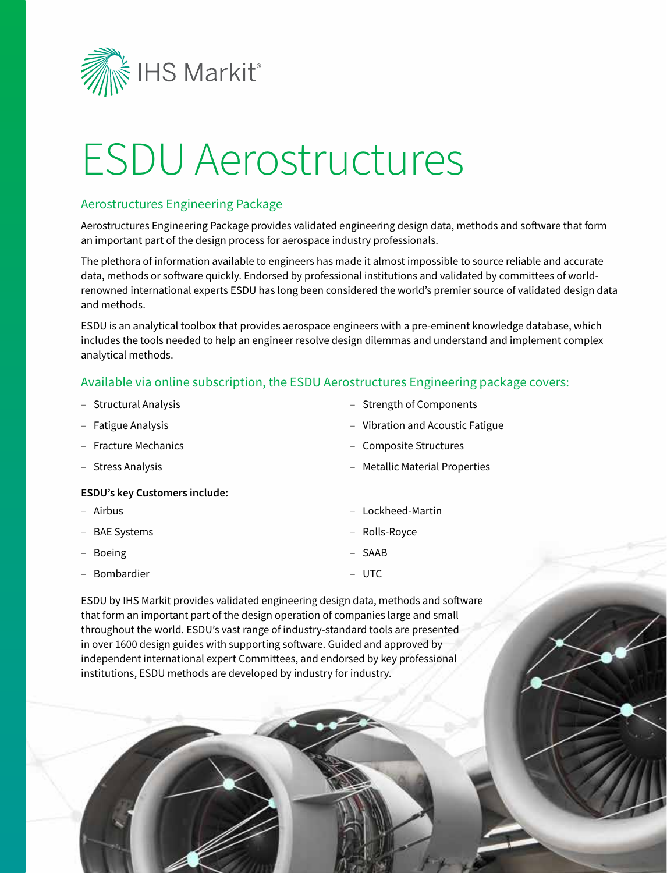

# ESDU Aerostructures

# Aerostructures Engineering Package

Aerostructures Engineering Package provides validated engineering design data, methods and software that form an important part of the design process for aerospace industry professionals.

The plethora of information available to engineers has made it almost impossible to source reliable and accurate data, methods or software quickly. Endorsed by professional institutions and validated by committees of worldrenowned international experts ESDU has long been considered the world's premier source of validated design data and methods.

ESDU is an analytical toolbox that provides aerospace engineers with a pre-eminent knowledge database, which includes the tools needed to help an engineer resolve design dilemmas and understand and implement complex analytical methods.

# Available via online subscription, the ESDU Aerostructures Engineering package covers:

- ‒ Structural Analysis
- ‒ Fatigue Analysis
- ‒ Fracture Mechanics
- ‒ Stress Analysis

## **ESDU's key Customers include:**

- ‒ Airbus
- BAE Systems
- ‒ Boeing
- ‒ Bombardier
- Strength of Components
- ‒ Vibration and Acoustic Fatigue
- ‒ Composite Structures
- ‒ Metallic Material Properties
- ‒ Lockheed-Martin
- ‒ Rolls-Royce
- ‒ SAAB ‒ UTC
- 

ESDU by IHS Markit provides validated engineering design data, methods and software that form an important part of the design operation of companies large and small throughout the world. ESDU's vast range of industry-standard tools are presented in over 1600 design guides with supporting software. Guided and approved by independent international expert Committees, and endorsed by key professional institutions, ESDU methods are developed by industry for industry.